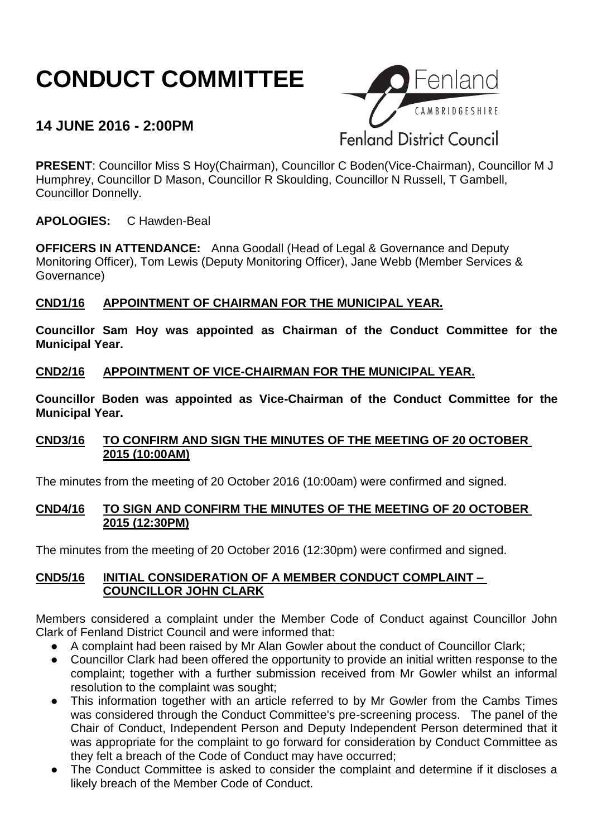# **CONDUCT COMMITTEE**

# **14 JUNE 2016 - 2:00PM**



**PRESENT**: Councillor Miss S Hoy(Chairman), Councillor C Boden(Vice-Chairman), Councillor M J Humphrey, Councillor D Mason, Councillor R Skoulding, Councillor N Russell, T Gambell, Councillor Donnelly.

**APOLOGIES:** C Hawden-Beal

**OFFICERS IN ATTENDANCE:** Anna Goodall (Head of Legal & Governance and Deputy Monitoring Officer), Tom Lewis (Deputy Monitoring Officer), Jane Webb (Member Services & Governance)

# **CND1/16 APPOINTMENT OF CHAIRMAN FOR THE MUNICIPAL YEAR.**

**Councillor Sam Hoy was appointed as Chairman of the Conduct Committee for the Municipal Year.**

# **CND2/16 APPOINTMENT OF VICE-CHAIRMAN FOR THE MUNICIPAL YEAR.**

**Councillor Boden was appointed as Vice-Chairman of the Conduct Committee for the Municipal Year.**

# **CND3/16 TO CONFIRM AND SIGN THE MINUTES OF THE MEETING OF 20 OCTOBER 2015 (10:00AM)**

The minutes from the meeting of 20 October 2016 (10:00am) were confirmed and signed.

#### **CND4/16 TO SIGN AND CONFIRM THE MINUTES OF THE MEETING OF 20 OCTOBER 2015 (12:30PM)**

The minutes from the meeting of 20 October 2016 (12:30pm) were confirmed and signed.

#### **CND5/16 INITIAL CONSIDERATION OF A MEMBER CONDUCT COMPLAINT – COUNCILLOR JOHN CLARK**

Members considered a complaint under the Member Code of Conduct against Councillor John Clark of Fenland District Council and were informed that:

- A complaint had been raised by Mr Alan Gowler about the conduct of Councillor Clark;
- Councillor Clark had been offered the opportunity to provide an initial written response to the complaint; together with a further submission received from Mr Gowler whilst an informal resolution to the complaint was sought;
- This information together with an article referred to by Mr Gowler from the Cambs Times was considered through the Conduct Committee's pre-screening process. The panel of the Chair of Conduct, Independent Person and Deputy Independent Person determined that it was appropriate for the complaint to go forward for consideration by Conduct Committee as they felt a breach of the Code of Conduct may have occurred;
- The Conduct Committee is asked to consider the complaint and determine if it discloses a likely breach of the Member Code of Conduct.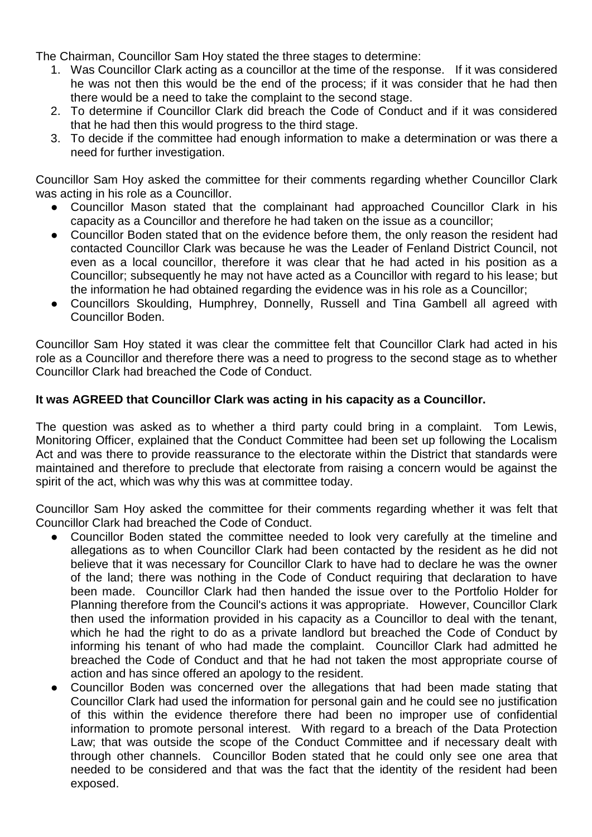The Chairman, Councillor Sam Hoy stated the three stages to determine:

- 1. Was Councillor Clark acting as a councillor at the time of the response. If it was considered he was not then this would be the end of the process; if it was consider that he had then there would be a need to take the complaint to the second stage.
- 2. To determine if Councillor Clark did breach the Code of Conduct and if it was considered that he had then this would progress to the third stage.
- 3. To decide if the committee had enough information to make a determination or was there a need for further investigation.

Councillor Sam Hoy asked the committee for their comments regarding whether Councillor Clark was acting in his role as a Councillor.

- Councillor Mason stated that the complainant had approached Councillor Clark in his capacity as a Councillor and therefore he had taken on the issue as a councillor;
- Councillor Boden stated that on the evidence before them, the only reason the resident had contacted Councillor Clark was because he was the Leader of Fenland District Council, not even as a local councillor, therefore it was clear that he had acted in his position as a Councillor; subsequently he may not have acted as a Councillor with regard to his lease; but the information he had obtained regarding the evidence was in his role as a Councillor;
- Councillors Skoulding, Humphrey, Donnelly, Russell and Tina Gambell all agreed with Councillor Boden.

Councillor Sam Hoy stated it was clear the committee felt that Councillor Clark had acted in his role as a Councillor and therefore there was a need to progress to the second stage as to whether Councillor Clark had breached the Code of Conduct.

# **It was AGREED that Councillor Clark was acting in his capacity as a Councillor.**

The question was asked as to whether a third party could bring in a complaint. Tom Lewis, Monitoring Officer, explained that the Conduct Committee had been set up following the Localism Act and was there to provide reassurance to the electorate within the District that standards were maintained and therefore to preclude that electorate from raising a concern would be against the spirit of the act, which was why this was at committee today.

Councillor Sam Hoy asked the committee for their comments regarding whether it was felt that Councillor Clark had breached the Code of Conduct.

- Councillor Boden stated the committee needed to look very carefully at the timeline and allegations as to when Councillor Clark had been contacted by the resident as he did not believe that it was necessary for Councillor Clark to have had to declare he was the owner of the land; there was nothing in the Code of Conduct requiring that declaration to have been made. Councillor Clark had then handed the issue over to the Portfolio Holder for Planning therefore from the Council's actions it was appropriate. However, Councillor Clark then used the information provided in his capacity as a Councillor to deal with the tenant, which he had the right to do as a private landlord but breached the Code of Conduct by informing his tenant of who had made the complaint. Councillor Clark had admitted he breached the Code of Conduct and that he had not taken the most appropriate course of action and has since offered an apology to the resident.
- Councillor Boden was concerned over the allegations that had been made stating that Councillor Clark had used the information for personal gain and he could see no justification of this within the evidence therefore there had been no improper use of confidential information to promote personal interest. With regard to a breach of the Data Protection Law; that was outside the scope of the Conduct Committee and if necessary dealt with through other channels. Councillor Boden stated that he could only see one area that needed to be considered and that was the fact that the identity of the resident had been exposed.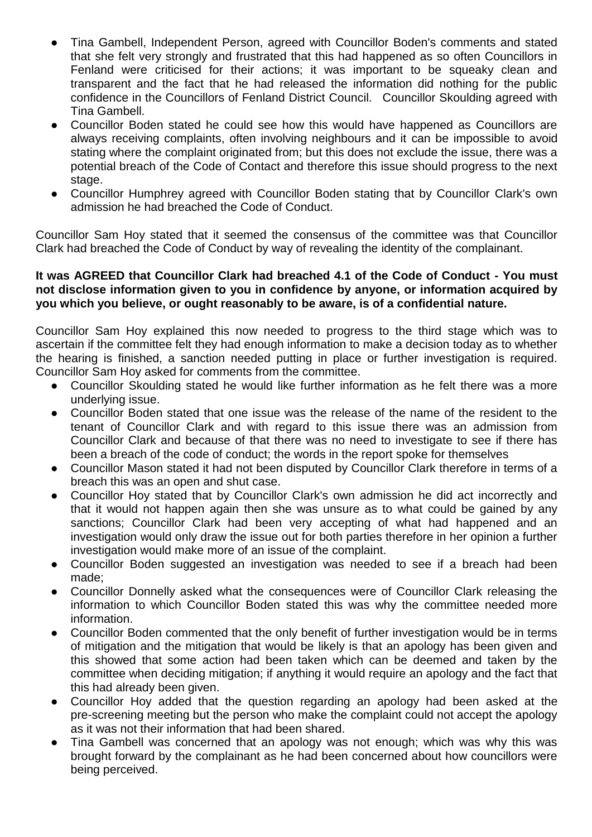- Tina Gambell, Independent Person, agreed with Councillor Boden's comments and stated that she felt very strongly and frustrated that this had happened as so often Councillors in Fenland were criticised for their actions; it was important to be squeaky clean and transparent and the fact that he had released the information did nothing for the public confidence in the Councillors of Fenland District Council. Councillor Skoulding agreed with Tina Gambell.
- Councillor Boden stated he could see how this would have happened as Councillors are always receiving complaints, often involving neighbours and it can be impossible to avoid stating where the complaint originated from; but this does not exclude the issue, there was a potential breach of the Code of Contact and therefore this issue should progress to the next stage.
- Councillor Humphrey agreed with Councillor Boden stating that by Councillor Clark's own admission he had breached the Code of Conduct.

Councillor Sam Hoy stated that it seemed the consensus of the committee was that Councillor Clark had breached the Code of Conduct by way of revealing the identity of the complainant.

#### **It was AGREED that Councillor Clark had breached 4.1 of the Code of Conduct - You must not disclose information given to you in confidence by anyone, or information acquired by you which you believe, or ought reasonably to be aware, is of a confidential nature.**

Councillor Sam Hoy explained this now needed to progress to the third stage which was to ascertain if the committee felt they had enough information to make a decision today as to whether the hearing is finished, a sanction needed putting in place or further investigation is required. Councillor Sam Hoy asked for comments from the committee.

- Councillor Skoulding stated he would like further information as he felt there was a more underlying issue.
- Councillor Boden stated that one issue was the release of the name of the resident to the tenant of Councillor Clark and with regard to this issue there was an admission from Councillor Clark and because of that there was no need to investigate to see if there has been a breach of the code of conduct; the words in the report spoke for themselves
- Councillor Mason stated it had not been disputed by Councillor Clark therefore in terms of a breach this was an open and shut case.
- Councillor Hoy stated that by Councillor Clark's own admission he did act incorrectly and that it would not happen again then she was unsure as to what could be gained by any sanctions; Councillor Clark had been very accepting of what had happened and an investigation would only draw the issue out for both parties therefore in her opinion a further investigation would make more of an issue of the complaint.
- Councillor Boden suggested an investigation was needed to see if a breach had been made;
- Councillor Donnelly asked what the consequences were of Councillor Clark releasing the information to which Councillor Boden stated this was why the committee needed more information.
- Councillor Boden commented that the only benefit of further investigation would be in terms of mitigation and the mitigation that would be likely is that an apology has been given and this showed that some action had been taken which can be deemed and taken by the committee when deciding mitigation; if anything it would require an apology and the fact that this had already been given.
- Councillor Hoy added that the question regarding an apology had been asked at the pre-screening meeting but the person who make the complaint could not accept the apology as it was not their information that had been shared.
- Tina Gambell was concerned that an apology was not enough; which was why this was brought forward by the complainant as he had been concerned about how councillors were being perceived.